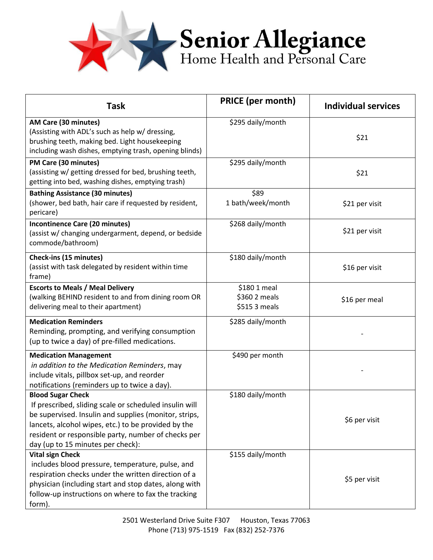

| <b>Task</b>                                                                                                                                                                                                                                                                                    | <b>PRICE (per month)</b>                       | <b>Individual services</b> |
|------------------------------------------------------------------------------------------------------------------------------------------------------------------------------------------------------------------------------------------------------------------------------------------------|------------------------------------------------|----------------------------|
| AM Care (30 minutes)<br>(Assisting with ADL's such as help w/ dressing,<br>brushing teeth, making bed. Light housekeeping<br>including wash dishes, emptying trash, opening blinds)                                                                                                            | \$295 daily/month                              | \$21                       |
| PM Care (30 minutes)<br>(assisting w/ getting dressed for bed, brushing teeth,<br>getting into bed, washing dishes, emptying trash)                                                                                                                                                            | \$295 daily/month                              | \$21                       |
| <b>Bathing Assistance (30 minutes)</b><br>(shower, bed bath, hair care if requested by resident,<br>pericare)                                                                                                                                                                                  | \$89<br>1 bath/week/month                      | \$21 per visit             |
| <b>Incontinence Care (20 minutes)</b><br>(assist w/ changing undergarment, depend, or bedside<br>commode/bathroom)                                                                                                                                                                             | \$268 daily/month                              | \$21 per visit             |
| Check-ins (15 minutes)<br>(assist with task delegated by resident within time<br>frame)                                                                                                                                                                                                        | \$180 daily/month                              | \$16 per visit             |
| <b>Escorts to Meals / Meal Delivery</b><br>(walking BEHIND resident to and from dining room OR<br>delivering meal to their apartment)                                                                                                                                                          | \$180 1 meal<br>\$360 2 meals<br>\$515 3 meals | \$16 per meal              |
| <b>Medication Reminders</b><br>Reminding, prompting, and verifying consumption<br>(up to twice a day) of pre-filled medications.                                                                                                                                                               | \$285 daily/month                              |                            |
| <b>Medication Management</b><br>in addition to the Medication Reminders, may<br>include vitals, pillbox set-up, and reorder<br>notifications (reminders up to twice a day).                                                                                                                    | \$490 per month                                |                            |
| <b>Blood Sugar Check</b><br>If prescribed, sliding scale or scheduled insulin will<br>be supervised. Insulin and supplies (monitor, strips,<br>lancets, alcohol wipes, etc.) to be provided by the<br>resident or responsible party, number of checks per<br>day (up to 15 minutes per check): | \$180 daily/month                              | \$6 per visit              |
| <b>Vital sign Check</b><br>includes blood pressure, temperature, pulse, and<br>respiration checks under the written direction of a<br>physician (including start and stop dates, along with<br>follow-up instructions on where to fax the tracking<br>form).                                   | \$155 daily/month                              | \$5 per visit              |